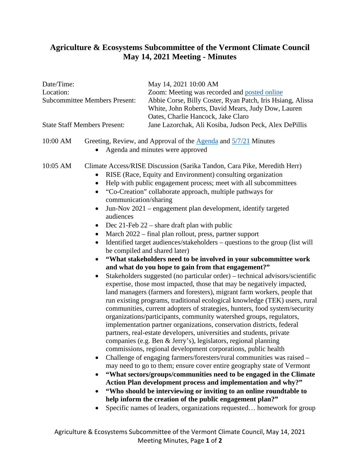## **Agriculture & Ecosystems Subcommittee of the Vermont Climate Council May 14, 2021 Meeting - Minutes**

## Date/Time: May 14, 2021 10:00 AM Location: Zoom: Meeting was recorded and [posted online](https://www.youtube.com/watch?app=desktop&v=UyPC8hGk-D4&feature=youtu.be) Subcommittee Members Present: Abbie Corse, Billy Coster, Ryan Patch, Iris Hsiang, Alissa White, John Roberts, David Mears, Judy Dow, Lauren Oates, Charlie Hancock, Jake Claro State Staff Members Present: Jane Lazorchak, Ali Kosiba, Judson Peck, Alex DePillis 10:00 AM Greeting, Review, and Approval of the [Agenda](https://aoa.vermont.gov/sites/aoa/files/Boards/VCC/2021-5-14%20Agenda%20-%20Agriculture%20%20Ecosystems%20Subcommittee%20of%20the%20Vermont%20Climate%20Council.pdf) and  $\frac{5}{7/21}$  Minutes • Agenda and minutes were approved 10:05 AM Climate Access/RISE Discussion (Sarika Tandon, Cara Pike, Meredith Herr) • RISE (Race, Equity and Environment) consulting organization • Help with public engagement process; meet with all subcommittees • "Co-Creation" collaborate approach, multiple pathways for communication/sharing • Jun-Nov 2021 – engagement plan development, identify targeted audiences • Dec 21-Feb 22 – share draft plan with public • March 2022 – final plan rollout, press, partner support • Identified target audiences/stakeholders – questions to the group (list will be compiled and shared later) • **"What stakeholders need to be involved in your subcommittee work and what do you hope to gain from that engagement?"** • Stakeholders suggested (no particular order) – technical advisors/scientific expertise, those most impacted, those that may be negatively impacted, land managers (farmers and foresters), migrant farm workers, people that run existing programs, traditional ecological knowledge (TEK) users, rural communities, current adopters of strategies, hunters, food system/security organizations/participants, community watershed groups, regulators, implementation partner organizations, conservation districts, federal partners, real-estate developers, universities and students, private companies (e.g. Ben & Jerry's), legislators, regional planning commissions, regional development corporations, public health • Challenge of engaging farmers/foresters/rural communities was raised – may need to go to them; ensure cover entire geography state of Vermont • **"What sectors/groups/communities need to be engaged in the Climate Action Plan development process and implementation and why?"** • **"Who should be interviewing or inviting to an online roundtable to help inform the creation of the public engagement plan?"** • Specific names of leaders, organizations requested... homework for group